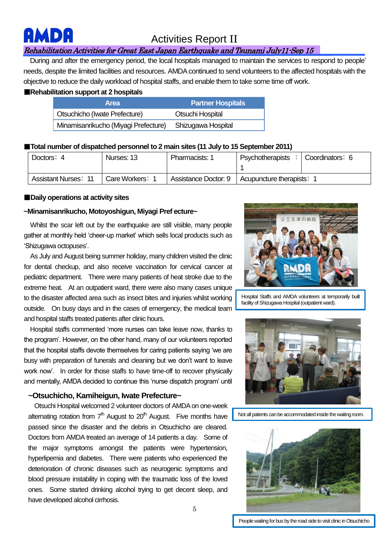# **MBC**

## Activities Report II

### Rehabilitation Activities for Great East Japan Earthquake and Tsunami July11-Sep 15

During and after the emergency period, the local hospitals managed to maintain the services to respond to people' needs, despite the limited facilities and resources. AMDA continued to send volunteers to the affected hospitals with the objective to reduce the daily workload of hospital staffs, and enable them to take some time off work.

#### ■**Rehabilitation support at 2 hospitals**

| <b>Area</b>                          | <b>Partner Hospitals</b> |
|--------------------------------------|--------------------------|
| Otsuchicho (Iwate Prefecture)        | Otsuchi Hospital         |
| Minamisanrikucho (Miyagi Prefecture) | Shizugawa Hospital       |

#### ■**Total number of dispatched personnel to 2 main sites (11 July to 15 September 2011)**

| Doctors: 4                  | Nurses: 13      | Pharmacists:         | <b>Psychotherapists</b> | Coordinators: 6 |
|-----------------------------|-----------------|----------------------|-------------------------|-----------------|
| <b>Assistant Nurses: 11</b> | Care Workers: 1 | Assistance Doctor: 9 | Acupuncture therapists: |                 |

#### ■**Daily operations at activity sites**

#### **~Minamisanrikucho, Motoyoshigun, Miyagi Pref ecture~**

Whilst the scar left out by the earthquake are still visible, many people gather at monthly held 'cheer-up market' which sells local products such as 'Shizugawa octopuses'.

As July and August being summer holiday, many children visited the clinic for dental checkup, and also receive vaccination for cervical cancer at pediatric department. There were many patients of heat stroke due to the extreme heat. At an outpatient ward, there were also many cases unique to the disaster affected area such as insect bites and injuries whilst working outside. On busy days and in the cases of emergency, the medical team and hospital staffs treated patients after clinic hours.

 Hospital staffs commented 'more nurses can take leave now, thanks to the program'. However, on the other hand, many of our volunteers reported that the hospital staffs devote themselves for caring patients saying 'we are busy with preparation of funerals and cleaning but we don't want to leave work now'. In order for those staffs to have time-off to recover physically and mentally, AMDA decided to continue this 'nurse dispatch program' until

### ~Otsuchicho, Kamiheigun, Iwate Prefecture~

 Otsuchi Hospital welcomed 2 volunteer doctors of AMDA on one-week alternating rotation from  $7<sup>th</sup>$  August to  $20<sup>th</sup>$  August. Five months have passed since the disaster and the debris in Otsuchicho are cleared. Doctors from AMDA treated an average of 14 patients a day. Some of the major symptoms amongst the patients were hypertension, hyperlipemia and diabetes. There were patients who experienced the deterioration of chronic diseases such as neurogenic symptoms and blood pressure instability in coping with the traumatic loss of the loved ones. Some started drinking alcohol trying to get decent sleep, and have developed alcohol cirrhosis.



Hospital Staffs and AMDA volunteers at temporarily built facility of Shizugawa Hospital (outpatient ward).



Not all patients can be accommodated inside the waiting room.



People waiting for bus by the road side to visit clinic in Otsuchicho